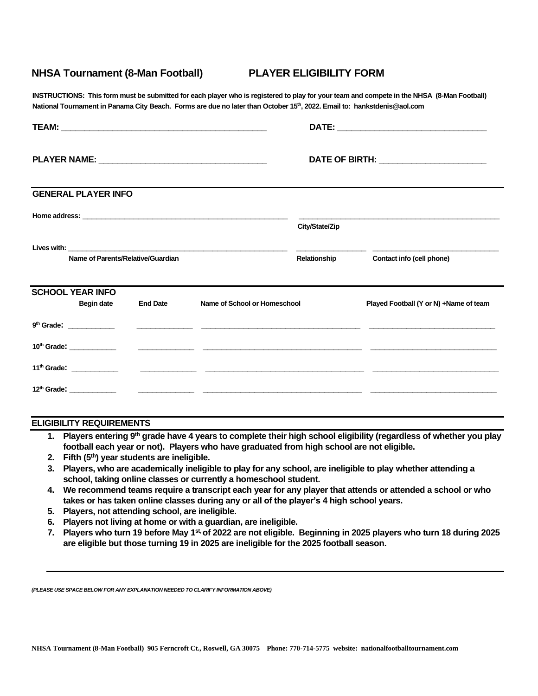## **NHSA Tournament (8-Man Football) PLAYER ELIGIBILITY FORM**

**INSTRUCTIONS: This form must be submitted for each player who is registered to play for your team and compete in the NHSA (8-Man Football) National Tournament in Panama City Beach. Forms are due no later than October 15 th, 2022. Email to: hankstdenis@aol.com**

|                                                          | <b>GENERAL PLAYER INFO</b> |  |                              |                |                                        |
|----------------------------------------------------------|----------------------------|--|------------------------------|----------------|----------------------------------------|
|                                                          |                            |  |                              | City/State/Zip |                                        |
| Name of Parents/Relative/Guardian                        |                            |  |                              | Relationship   | Contact info (cell phone)              |
| <b>SCHOOL YEAR INFO</b><br>Begin date<br><b>End Date</b> |                            |  | Name of School or Homeschool |                | Played Football (Y or N) +Name of team |
|                                                          |                            |  |                              |                |                                        |
|                                                          |                            |  |                              |                |                                        |
|                                                          |                            |  |                              |                |                                        |
|                                                          |                            |  |                              |                |                                        |

## **ELIGIBILITY REQUIREMENTS**

- **1. Players entering 9th grade have 4 years to complete their high school eligibility (regardless of whether you play football each year or not). Players who have graduated from high school are not eligible.**
- **2. Fifth (5th) year students are ineligible.**
- **3. Players, who are academically ineligible to play for any school, are ineligible to play whether attending a school, taking online classes or currently a homeschool student.**
- **4. We recommend teams require a transcript each year for any player that attends or attended a school or who takes or has taken online classes during any or all of the player's 4 high school years.**
- **5. Players, not attending school, are ineligible.**
- **6. Players not living at home or with a guardian, are ineligible.**
- **7. Players who turn 19 before May 1 st, of 2022 are not eligible. Beginning in 2025 players who turn 18 during 2025 are eligible but those turning 19 in 2025 are ineligible for the 2025 football season.**

*(PLEASE USE SPACE BELOW FOR ANY EXPLANATION NEEDED TO CLARIFY INFORMATION ABOVE)*